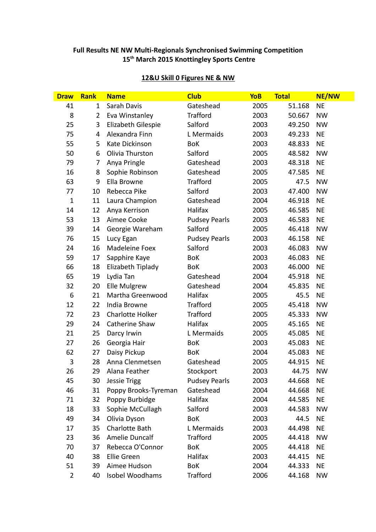# **Full Results NE NW Multi-Regionals Synchronised Swimming Competition th March 2015 Knottingley Sports Centre**

| <b>Draw</b>    | <b>Rank</b>    | <b>Name</b>             | <b>Club</b>          | <b>YoB</b> | <b>Total</b> | <b>NE/NW</b> |
|----------------|----------------|-------------------------|----------------------|------------|--------------|--------------|
| 41             | $\mathbf{1}$   | Sarah Davis             | Gateshead            | 2005       | 51.168       | <b>NE</b>    |
| 8              | $\overline{2}$ | Eva Winstanley          | <b>Trafford</b>      | 2003       | 50.667       | <b>NW</b>    |
| 25             | 3              | Elizabeth Gilespie      | Salford              | 2003       | 49.250       | <b>NW</b>    |
| 75             | 4              | Alexandra Finn          | L Mermaids           | 2003       | 49.233       | <b>NE</b>    |
| 55             | 5              | Kate Dickinson          | BoK                  | 2003       | 48.833       | <b>NE</b>    |
| 50             | 6              | Olivia Thurston         | Salford              | 2005       | 48.582       | <b>NW</b>    |
| 79             | $\overline{7}$ | Anya Pringle            | Gateshead            | 2003       | 48.318       | <b>NE</b>    |
| 16             | 8              | Sophie Robinson         | Gateshead            | 2005       | 47.585       | <b>NE</b>    |
| 63             | 9              | Ella Browne             | <b>Trafford</b>      | 2005       | 47.5         | <b>NW</b>    |
| 77             | 10             | Rebecca Pike            | Salford              | 2003       | 47.400       | <b>NW</b>    |
| $\mathbf{1}$   | 11             | Laura Champion          | Gateshead            | 2004       | 46.918       | <b>NE</b>    |
| 14             | 12             | Anya Kerrison           | Halifax              | 2005       | 46.585       | <b>NE</b>    |
| 53             | 13             | Aimee Cooke             | <b>Pudsey Pearls</b> | 2003       | 46.583       | <b>NE</b>    |
| 39             | 14             | Georgie Wareham         | Salford              | 2005       | 46.418       | <b>NW</b>    |
| 76             | 15             | Lucy Egan               | <b>Pudsey Pearls</b> | 2003       | 46.158       | <b>NE</b>    |
| 24             | 16             | Madeleine Foex          | Salford              | 2003       | 46.083       | <b>NW</b>    |
| 59             | 17             | Sapphire Kaye           | <b>BoK</b>           | 2003       | 46.083       | <b>NE</b>    |
| 66             | 18             | Elizabeth Tiplady       | <b>BoK</b>           | 2003       | 46.000       | <b>NE</b>    |
| 65             | 19             | Lydia Tan               | Gateshead            | 2004       | 45.918       | <b>NE</b>    |
| 32             | 20             | Elle Mulgrew            | Gateshead            | 2004       | 45.835       | <b>NE</b>    |
| 6              | 21             | Martha Greenwood        | Halifax              | 2005       | 45.5         | <b>NE</b>    |
| 12             | 22             | India Browne            | <b>Trafford</b>      | 2005       | 45.418       | <b>NW</b>    |
| 72             | 23             | <b>Charlotte Holker</b> | <b>Trafford</b>      | 2005       | 45.333       | <b>NW</b>    |
| 29             | 24             | Catherine Shaw          | Halifax              | 2005       | 45.165       | <b>NE</b>    |
| 21             | 25             | Darcy Irwin             | L Mermaids           | 2005       | 45.085       | <b>NE</b>    |
| 27             | 26             | Georgia Hair            | <b>BoK</b>           | 2003       | 45.083       | <b>NE</b>    |
| 62             | 27             | Daisy Pickup            | <b>BoK</b>           | 2004       | 45.083       | <b>NE</b>    |
| 3              | 28             | Anna Clenmetsen         | Gateshead            | 2005       | 44.915       | <b>NE</b>    |
| 26             | 29             | Alana Feather           | Stockport            | 2003       | 44.75        | <b>NW</b>    |
| 45             | 30             | <b>Jessie Trigg</b>     | <b>Pudsey Pearls</b> | 2003       | 44.668       | <b>NE</b>    |
| 46             | 31             | Poppy Brooks-Tyreman    | Gateshead            | 2004       | 44.668       | <b>NE</b>    |
| 71             | 32             | Poppy Burbidge          | Halifax              | 2004       | 44.585       | <b>NE</b>    |
| 18             | 33             | Sophie McCullagh        | Salford              | 2003       | 44.583       | <b>NW</b>    |
| 49             | 34             | Olivia Dyson            | <b>BoK</b>           | 2003       | 44.5         | <b>NE</b>    |
| 17             | 35             | Charlotte Bath          | L Mermaids           | 2003       | 44.498       | <b>NE</b>    |
| 23             | 36             | Amelie Duncalf          | <b>Trafford</b>      | 2005       | 44.418       | <b>NW</b>    |
| 70             | 37             | Rebecca O'Connor        | <b>BoK</b>           | 2005       | 44.418       | <b>NE</b>    |
| 40             | 38             | Ellie Green             | Halifax              | 2003       | 44.415       | <b>NE</b>    |
| 51             | 39             | Aimee Hudson            | <b>BoK</b>           | 2004       | 44.333       | <b>NE</b>    |
| $\overline{2}$ | 40             | Isobel Woodhams         | <b>Trafford</b>      | 2006       | 44.168       | <b>NW</b>    |

# **12&U Skill 0 Figures NE & NW**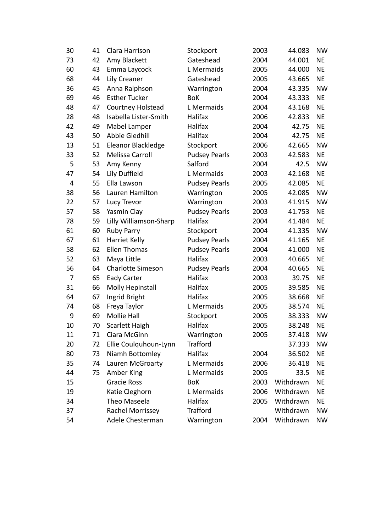| 30 | 41 | Clara Harrison           | Stockport            | 2003 | 44.083    | <b>NW</b> |
|----|----|--------------------------|----------------------|------|-----------|-----------|
| 73 | 42 | Amy Blackett             | Gateshead            | 2004 | 44.001    | <b>NE</b> |
| 60 | 43 | Emma Laycock             | L Mermaids           | 2005 | 44.000    | <b>NE</b> |
| 68 | 44 | Lily Creaner             | Gateshead            | 2005 | 43.665    | <b>NE</b> |
| 36 | 45 | Anna Ralphson            | Warrington           | 2004 | 43.335    | <b>NW</b> |
| 69 | 46 | <b>Esther Tucker</b>     | <b>BoK</b>           | 2004 | 43.333    | <b>NE</b> |
| 48 | 47 | Courtney Holstead        | L Mermaids           | 2004 | 43.168    | <b>NE</b> |
| 28 | 48 | Isabella Lister-Smith    | Halifax              | 2006 | 42.833    | <b>NE</b> |
| 42 | 49 | Mabel Lamper             | Halifax              | 2004 | 42.75     | <b>NE</b> |
| 43 | 50 | Abbie Gledhill           | Halifax              | 2004 | 42.75     | <b>NE</b> |
| 13 | 51 | Eleanor Blackledge       | Stockport            | 2006 | 42.665    | <b>NW</b> |
| 33 | 52 | Melissa Carroll          | <b>Pudsey Pearls</b> | 2003 | 42.583    | <b>NE</b> |
| 5  | 53 | Amy Kenny                | Salford              | 2004 | 42.5      | <b>NW</b> |
| 47 | 54 | Lily Duffield            | L Mermaids           | 2003 | 42.168    | <b>NE</b> |
| 4  | 55 | Ella Lawson              | <b>Pudsey Pearls</b> | 2005 | 42.085    | <b>NE</b> |
| 38 | 56 | Lauren Hamilton          | Warrington           | 2005 | 42.085    | <b>NW</b> |
| 22 | 57 | Lucy Trevor              | Warrington           | 2003 | 41.915    | <b>NW</b> |
| 57 | 58 | Yasmin Clay              | <b>Pudsey Pearls</b> | 2003 | 41.753    | <b>NE</b> |
| 78 | 59 | Lilly Williamson-Sharp   | Halifax              | 2004 | 41.484    | <b>NE</b> |
| 61 | 60 | <b>Ruby Parry</b>        | Stockport            | 2004 | 41.335    | <b>NW</b> |
| 67 | 61 | <b>Harriet Kelly</b>     | <b>Pudsey Pearls</b> | 2004 | 41.165    | <b>NE</b> |
| 58 | 62 | <b>Ellen Thomas</b>      | <b>Pudsey Pearls</b> | 2004 | 41.000    | <b>NE</b> |
| 52 | 63 | Maya Little              | Halifax              | 2003 | 40.665    | <b>NE</b> |
| 56 | 64 | <b>Charlotte Simeson</b> | <b>Pudsey Pearls</b> | 2004 | 40.665    | <b>NE</b> |
| 7  | 65 | <b>Eady Carter</b>       | Halifax              | 2003 | 39.75     | <b>NE</b> |
| 31 | 66 | Molly Hepinstall         | Halifax              | 2005 | 39.585    | <b>NE</b> |
| 64 | 67 | Ingrid Bright            | Halifax              | 2005 | 38.668    | <b>NE</b> |
| 74 | 68 | Freya Taylor             | L Mermaids           | 2005 | 38.574    | <b>NE</b> |
| 9  | 69 | <b>Mollie Hall</b>       | Stockport            | 2005 | 38.333    | <b>NW</b> |
| 10 | 70 | Scarlett Haigh           | Halifax              | 2005 | 38.248    | <b>NE</b> |
| 11 | 71 | Ciara McGinn             | Warrington           | 2005 | 37.418    | NW        |
| 20 | 72 | Ellie Coulquhoun-Lynn    | <b>Trafford</b>      |      | 37.333    | <b>NW</b> |
| 80 | 73 | Niamh Bottomley          | Halifax              | 2004 | 36.502    | NE        |
| 35 | 74 | Lauren McGroarty         | L Mermaids           | 2006 | 36.418    | <b>NE</b> |
| 44 | 75 | Amber King               | L Mermaids           | 2005 | 33.5      | NE        |
| 15 |    | <b>Gracie Ross</b>       | <b>BoK</b>           | 2003 | Withdrawn | NE        |
| 19 |    | Katie Cleghorn           | L Mermaids           | 2006 | Withdrawn | NE        |
| 34 |    | Theo Maseela             | Halifax              | 2005 | Withdrawn | <b>NE</b> |
| 37 |    | Rachel Morrissey         | <b>Trafford</b>      |      | Withdrawn | <b>NW</b> |
| 54 |    | Adele Chesterman         | Warrington           | 2004 | Withdrawn | <b>NW</b> |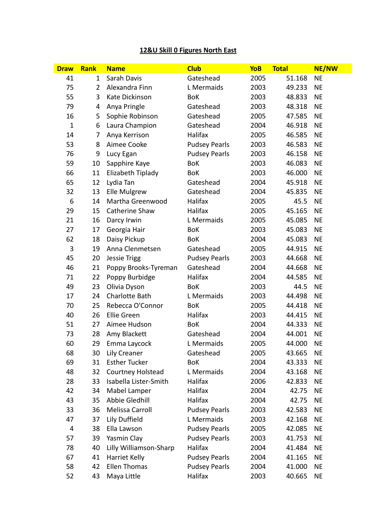# **12&U Skill 0 Figures North East**

| <b>Draw</b>  | <b>Rank</b>    | <b>Name</b>            | <b>Club</b>          | <b>YoB</b> | <b>Total</b> | NE/NW     |
|--------------|----------------|------------------------|----------------------|------------|--------------|-----------|
| 41           | $\mathbf{1}$   | Sarah Davis            | Gateshead            | 2005       | 51.168       | <b>NE</b> |
| 75           | $\overline{2}$ | Alexandra Finn         | L Mermaids           | 2003       | 49.233       | <b>NE</b> |
| 55           | 3              | Kate Dickinson         | <b>BoK</b>           | 2003       | 48.833       | <b>NE</b> |
| 79           | 4              | Anya Pringle           | Gateshead            | 2003       | 48.318       | <b>NE</b> |
| 16           | 5              | Sophie Robinson        | Gateshead            | 2005       | 47.585       | <b>NE</b> |
| $\mathbf{1}$ | 6              | Laura Champion         | Gateshead            | 2004       | 46.918       | <b>NE</b> |
| 14           | 7              | Anya Kerrison          | Halifax              | 2005       | 46.585       | <b>NE</b> |
| 53           | 8              | Aimee Cooke            | <b>Pudsey Pearls</b> | 2003       | 46.583       | <b>NE</b> |
| 76           | 9              | Lucy Egan              | <b>Pudsey Pearls</b> | 2003       | 46.158       | <b>NE</b> |
| 59           | 10             | Sapphire Kaye          | BoK                  | 2003       | 46.083       | <b>NE</b> |
| 66           | 11             | Elizabeth Tiplady      | <b>BoK</b>           | 2003       | 46.000       | <b>NE</b> |
| 65           | 12             | Lydia Tan              | Gateshead            | 2004       | 45.918       | <b>NE</b> |
| 32           | 13             | <b>Elle Mulgrew</b>    | Gateshead            | 2004       | 45.835       | <b>NE</b> |
| 6            | 14             | Martha Greenwood       | Halifax              | 2005       | 45.5         | <b>NE</b> |
| 29           | 15             | <b>Catherine Shaw</b>  | Halifax              | 2005       | 45.165       | <b>NE</b> |
| 21           | 16             | Darcy Irwin            | L Mermaids           | 2005       | 45.085       | <b>NE</b> |
| 27           | 17             | Georgia Hair           | BoK                  | 2003       | 45.083       | <b>NE</b> |
| 62           | 18             | Daisy Pickup           | BoK                  | 2004       | 45.083       | <b>NE</b> |
| 3            | 19             | Anna Clenmetsen        | Gateshead            | 2005       | 44.915       | <b>NE</b> |
| 45           | 20             | <b>Jessie Trigg</b>    | <b>Pudsey Pearls</b> | 2003       | 44.668       | <b>NE</b> |
| 46           | 21             | Poppy Brooks-Tyreman   | Gateshead            | 2004       | 44.668       | <b>NE</b> |
| 71           | 22             | Poppy Burbidge         | Halifax              | 2004       | 44.585       | <b>NE</b> |
| 49           | 23             | Olivia Dyson           | BoK                  | 2003       | 44.5         | <b>NE</b> |
| 17           | 24             | Charlotte Bath         | L Mermaids           | 2003       | 44.498       | <b>NE</b> |
| 70           | 25             | Rebecca O'Connor       | <b>BoK</b>           | 2005       | 44.418       | <b>NE</b> |
| 40           | 26             | <b>Ellie Green</b>     | Halifax              | 2003       | 44.415       | <b>NE</b> |
| 51           | 27             | Aimee Hudson           | BoK                  | 2004       | 44.333       | <b>NE</b> |
| 73           | 28             | Amy Blackett           | Gateshead            | 2004       | 44.001       | <b>NE</b> |
| 60           | 29             | Emma Laycock           | L Mermaids           | 2005       | 44.000       | <b>NE</b> |
| 68           | 30             | Lily Creaner           | Gateshead            | 2005       | 43.665       | <b>NE</b> |
| 69           | 31             | <b>Esther Tucker</b>   | BoK                  | 2004       | 43.333       | <b>NE</b> |
| 48           | 32             | Courtney Holstead      | L Mermaids           | 2004       | 43.168       | <b>NE</b> |
| 28           | 33             | Isabella Lister-Smith  | Halifax              | 2006       | 42.833       | <b>NE</b> |
| 42           | 34             | Mabel Lamper           | Halifax              | 2004       | 42.75        | <b>NE</b> |
| 43           | 35             | Abbie Gledhill         | Halifax              | 2004       | 42.75        | <b>NE</b> |
| 33           | 36             | Melissa Carroll        | <b>Pudsey Pearls</b> | 2003       | 42.583       | <b>NE</b> |
| 47           | 37             | Lily Duffield          | L Mermaids           | 2003       | 42.168       | <b>NE</b> |
| 4            | 38             | Ella Lawson            | <b>Pudsey Pearls</b> | 2005       | 42.085       | <b>NE</b> |
| 57           | 39             | Yasmin Clay            | <b>Pudsey Pearls</b> | 2003       | 41.753       | <b>NE</b> |
| 78           | 40             | Lilly Williamson-Sharp | Halifax              | 2004       | 41.484       | <b>NE</b> |
| 67           | 41             | Harriet Kelly          | <b>Pudsey Pearls</b> | 2004       | 41.165       | <b>NE</b> |
| 58           | 42             | <b>Ellen Thomas</b>    | <b>Pudsey Pearls</b> | 2004       | 41.000       | <b>NE</b> |
| 52           | 43             | Maya Little            | Halifax              | 2003       | 40.665       | <b>NE</b> |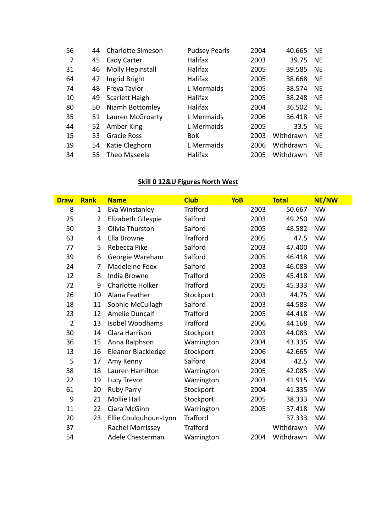| 56 | 44 | <b>Charlotte Simeson</b> | <b>Pudsey Pearls</b> | 2004 | 40.665    | <b>NE</b> |
|----|----|--------------------------|----------------------|------|-----------|-----------|
| 7  | 45 | Eady Carter              | Halifax              | 2003 | 39.75     | <b>NE</b> |
| 31 |    | 46 Molly Hepinstall      | Halifax              | 2005 | 39.585    | <b>NE</b> |
| 64 | 47 | Ingrid Bright            | Halifax              | 2005 | 38.668    | <b>NE</b> |
| 74 | 48 | Freya Taylor             | L Mermaids           | 2005 | 38.574    | <b>NE</b> |
| 10 | 49 | Scarlett Haigh           | Halifax              | 2005 | 38.248    | <b>NE</b> |
| 80 |    | 50 Niamh Bottomley       | Halifax              | 2004 | 36.502    | <b>NE</b> |
| 35 |    | 51 Lauren McGroarty      | L Mermaids           | 2006 | 36.418    | <b>NE</b> |
| 44 | 52 | Amber King               | L Mermaids           | 2005 | 33.5      | <b>NE</b> |
| 15 | 53 | <b>Gracie Ross</b>       | <b>BoK</b>           | 2003 | Withdrawn | <b>NE</b> |
| 19 | 54 | Katie Cleghorn           | L Mermaids           | 2006 | Withdrawn | <b>NE</b> |
| 34 |    | 55 Theo Maseela          | Halifax              | 2005 | Withdrawn | <b>NE</b> |

## **Skill 0 12&U Figures North West**

| <b>Draw</b>    | <b>Rank</b>    | <b>Name</b>             | <b>Club</b>     | <b>YoB</b> | <b>Total</b> | <b>NE/NW</b> |
|----------------|----------------|-------------------------|-----------------|------------|--------------|--------------|
| 8              | $\mathbf{1}$   | Eva Winstanley          | <b>Trafford</b> | 2003       | 50.667       | <b>NW</b>    |
| 25             | $\overline{2}$ | Elizabeth Gilespie      | Salford         | 2003       | 49.250       | <b>NW</b>    |
| 50             | 3              | Olivia Thurston         | Salford         | 2005       | 48.582       | <b>NW</b>    |
| 63             | 4              | Ella Browne             | <b>Trafford</b> | 2005       | 47.5         | <b>NW</b>    |
| 77             | 5              | Rebecca Pike            | Salford         | 2003       | 47.400       | <b>NW</b>    |
| 39             | 6              | Georgie Wareham         | Salford         | 2005       | 46.418       | <b>NW</b>    |
| 24             | 7              | Madeleine Foex          | Salford         | 2003       | 46.083       | <b>NW</b>    |
| 12             | 8              | India Browne            | <b>Trafford</b> | 2005       | 45.418       | <b>NW</b>    |
| 72             | 9              | <b>Charlotte Holker</b> | <b>Trafford</b> | 2005       | 45.333       | <b>NW</b>    |
| 26             | 10             | Alana Feather           | Stockport       | 2003       | 44.75        | <b>NW</b>    |
| 18             | 11             | Sophie McCullagh        | Salford         | 2003       | 44.583       | <b>NW</b>    |
| 23             | 12             | <b>Amelie Duncalf</b>   | <b>Trafford</b> | 2005       | 44.418       | <b>NW</b>    |
| $\overline{2}$ | 13             | Isobel Woodhams         | <b>Trafford</b> | 2006       | 44.168       | <b>NW</b>    |
| 30             | 14             | Clara Harrison          | Stockport       | 2003       | 44.083       | <b>NW</b>    |
| 36             | 15             | Anna Ralphson           | Warrington      | 2004       | 43.335       | <b>NW</b>    |
| 13             | 16             | Eleanor Blackledge      | Stockport       | 2006       | 42.665       | <b>NW</b>    |
| 5              | 17             | Amy Kenny               | Salford         | 2004       | 42.5         | <b>NW</b>    |
| 38             | 18             | Lauren Hamilton         | Warrington      | 2005       | 42.085       | <b>NW</b>    |
| 22             | 19             | Lucy Trevor             | Warrington      | 2003       | 41.915       | <b>NW</b>    |
| 61             | 20             | <b>Ruby Parry</b>       | Stockport       | 2004       | 41.335       | <b>NW</b>    |
| 9              | 21             | <b>Mollie Hall</b>      | Stockport       | 2005       | 38.333       | <b>NW</b>    |
| 11             | 22             | Ciara McGinn            | Warrington      | 2005       | 37.418       | <b>NW</b>    |
| 20             | 23             | Ellie Coulquhoun-Lynn   | <b>Trafford</b> |            | 37.333       | <b>NW</b>    |
| 37             |                | Rachel Morrissey        | <b>Trafford</b> |            | Withdrawn    | <b>NW</b>    |
| 54             |                | Adele Chesterman        | Warrington      | 2004       | Withdrawn    | <b>NW</b>    |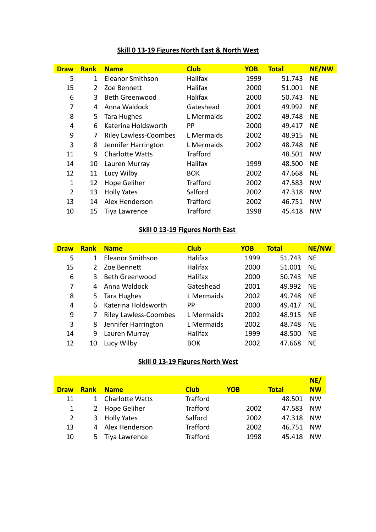| <b>Draw</b> | <b>Rank</b> | <b>Name</b>                  | <b>Club</b>     | <b>YOB</b> | <b>Total</b> | <b>NE/NW</b> |
|-------------|-------------|------------------------------|-----------------|------------|--------------|--------------|
| 5           | 1           | Eleanor Smithson             | <b>Halifax</b>  | 1999       | 51.743       | <b>NE</b>    |
| 15          | 2           | Zoe Bennett                  | Halifax         | 2000       | 51.001       | <b>NE</b>    |
| 6           | 3           | <b>Beth Greenwood</b>        | <b>Halifax</b>  | 2000       | 50.743       | <b>NE</b>    |
| 7           | 4           | Anna Waldock                 | Gateshead       | 2001       | 49.992       | <b>NE</b>    |
| 8           | 5           | Tara Hughes                  | L Mermaids      | 2002       | 49.748       | <b>NE</b>    |
| 4           | 6           | Katerina Holdsworth          | PP              | 2000       | 49.417       | <b>NE</b>    |
| 9           | 7           | <b>Riley Lawless-Coombes</b> | L Mermaids      | 2002       | 48.915       | <b>NE</b>    |
| 3           | 8           | Jennifer Harrington          | L Mermaids      | 2002       | 48.748       | <b>NE</b>    |
| 11          | 9           | <b>Charlotte Watts</b>       | <b>Trafford</b> |            | 48.501       | <b>NW</b>    |
| 14          | 10          | Lauren Murray                | Halifax         | 1999       | 48.500       | <b>NE</b>    |
| 12          | 11          | Lucy Wilby                   | <b>BOK</b>      | 2002       | 47.668       | <b>NE</b>    |
| 1           | 12          | Hope Geliher                 | <b>Trafford</b> | 2002       | 47.583       | <b>NW</b>    |
| 2           | 13          | <b>Holly Yates</b>           | Salford         | 2002       | 47.318       | <b>NW</b>    |
| 13          | 14          | Alex Henderson               | <b>Trafford</b> | 2002       | 46.751       | <b>NW</b>    |
| 10          | 15          | Tiya Lawrence                | <b>Trafford</b> | 1998       | 45.418       | <b>NW</b>    |

# **Skill 0 13-19 Figures North East & North West**

## **Skill 0 13-19 Figures North East**

| <b>Draw</b> | <b>Rank</b> | <b>Name</b>                  | <b>Club</b>    | <b>YOB</b> | <b>Total</b> | <b>NE/NW</b> |
|-------------|-------------|------------------------------|----------------|------------|--------------|--------------|
| 5           | 1           | Eleanor Smithson             | Halifax        | 1999       | 51.743       | NF           |
| 15          |             | Zoe Bennett                  | <b>Halifax</b> | 2000       | 51.001       | <b>NE</b>    |
| 6           | 3           | <b>Beth Greenwood</b>        | Halifax        | 2000       | 50.743       | <b>NF</b>    |
| 7           | 4           | Anna Waldock                 | Gateshead      | 2001       | 49.992       | <b>NE</b>    |
| 8           | 5.          | Tara Hughes                  | L Mermaids     | 2002       | 49.748       | <b>NE</b>    |
| 4           | 6           | Katerina Holdsworth          | PP             | 2000       | 49.417       | ΝF           |
| 9           |             | <b>Riley Lawless-Coombes</b> | L Mermaids     | 2002       | 48.915       | <b>NE</b>    |
| 3           | 8           | Jennifer Harrington          | L Mermaids     | 2002       | 48.748       | NF           |
| 14          | 9           | Lauren Murray                | Halifax        | 1999       | 48.500       | <b>NE</b>    |
| 12          | 10          | Lucy Wilby                   | <b>BOK</b>     | 2002       | 47.668       | <b>NE</b>    |

## **Skill 0 13-19 Figures North West**

|              |             |                        |                 |            |              | NE/       |
|--------------|-------------|------------------------|-----------------|------------|--------------|-----------|
| <b>Draw</b>  | <b>Rank</b> | <b>Name</b>            | <b>Club</b>     | <b>YOB</b> | <b>Total</b> | <b>NW</b> |
| 11           | 1.          | <b>Charlotte Watts</b> | <b>Trafford</b> |            | 48.501       | <b>NW</b> |
| $\mathbf{1}$ |             | 2 Hope Geliher         | <b>Trafford</b> | 2002       | 47.583       | <b>NW</b> |
| 2            | 3           | <b>Holly Yates</b>     | Salford         | 2002       | 47.318       | <b>NW</b> |
| 13           |             | 4 Alex Henderson       | <b>Trafford</b> | 2002       | 46.751       | <b>NW</b> |
| 10           | 5.          | Tiya Lawrence          | <b>Trafford</b> | 1998       | 45.418       | NW        |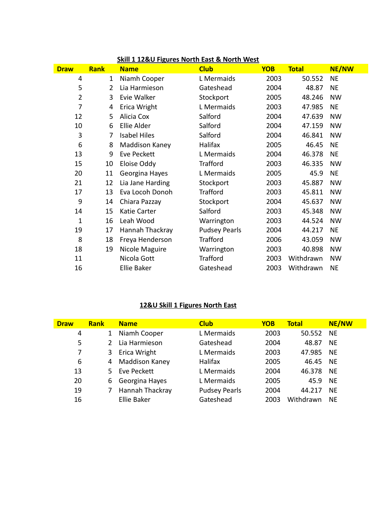| <b>Draw</b>    | <b>Rank</b>    | <b>Name</b>         | <b>Club</b>          | <b>YOB</b> | <b>Total</b> | <b>NE/NW</b> |
|----------------|----------------|---------------------|----------------------|------------|--------------|--------------|
| 4              | $\mathbf{1}$   | Niamh Cooper        | L Mermaids           | 2003       | 50.552       | <b>NE</b>    |
| 5              | $\overline{2}$ | Lia Harmieson       | Gateshead            | 2004       | 48.87        | <b>NE</b>    |
| $\overline{2}$ | 3              | Evie Walker         | Stockport            | 2005       | 48.246       | <b>NW</b>    |
| 7              | 4              | Erica Wright        | L Mermaids           | 2003       | 47.985       | <b>NE</b>    |
| 12             | 5              | Alicia Cox          | Salford              | 2004       | 47.639       | <b>NW</b>    |
| 10             | 6              | Ellie Alder         | Salford              | 2004       | 47.159       | <b>NW</b>    |
| 3              | 7              | <b>Isabel Hiles</b> | Salford              | 2004       | 46.841       | <b>NW</b>    |
| 6              | 8              | Maddison Kaney      | Halifax              | 2005       | 46.45        | <b>NE</b>    |
| 13             | 9              | Eve Peckett         | L Mermaids           | 2004       | 46.378       | <b>NE</b>    |
| 15             | 10             | Eloise Oddy         | <b>Trafford</b>      | 2003       | 46.335       | <b>NW</b>    |
| 20             | 11             | Georgina Hayes      | L Mermaids           | 2005       | 45.9         | <b>NE</b>    |
| 21             | 12             | Lia Jane Harding    | Stockport            | 2003       | 45.887       | <b>NW</b>    |
| 17             | 13             | Eva Locoh Donoh     | <b>Trafford</b>      | 2003       | 45.811       | <b>NW</b>    |
| 9              | 14             | Chiara Pazzay       | Stockport            | 2004       | 45.637       | <b>NW</b>    |
| 14             | 15             | Katie Carter        | Salford              | 2003       | 45.348       | <b>NW</b>    |
| $\mathbf{1}$   | 16             | Leah Wood           | Warrington           | 2003       | 44.524       | <b>NW</b>    |
| 19             | 17             | Hannah Thackray     | <b>Pudsey Pearls</b> | 2004       | 44.217       | <b>NE</b>    |
| 8              | 18             | Freya Henderson     | <b>Trafford</b>      | 2006       | 43.059       | <b>NW</b>    |
| 18             | 19             | Nicole Maguire      | Warrington           | 2003       | 40.898       | <b>NW</b>    |
| 11             |                | Nicola Gott         | <b>Trafford</b>      | 2003       | Withdrawn    | <b>NW</b>    |
| 16             |                | <b>Ellie Baker</b>  | Gateshead            | 2003       | Withdrawn    | <b>NE</b>    |

## **Skill 1 12&U Figures North East & North West**

# **12&U Skill 1 Figures North East**

| <b>Draw</b> | <b>Rank</b>  | <b>Name</b>     | <b>Club</b>          | <b>YOB</b> | <b>Total</b> | <b>NE/NW</b> |
|-------------|--------------|-----------------|----------------------|------------|--------------|--------------|
| 4           | $\mathbf{1}$ | Niamh Cooper    | L Mermaids           | 2003       | 50.552 NE    |              |
| 5           |              | Lia Harmieson   | Gateshead            | 2004       | 48.87        | <b>NE</b>    |
| 7           | 3            | Erica Wright    | L Mermaids           | 2003       | 47.985       | <b>NE</b>    |
| 6           | 4            | Maddison Kaney  | <b>Halifax</b>       | 2005       | 46.45        | <b>NE</b>    |
| 13          | 5.           | Eve Peckett     | L Mermaids           | 2004       | 46.378       | - NE         |
| 20          | 6            | Georgina Hayes  | L Mermaids           | 2005       | 45.9         | <b>NE</b>    |
| 19          |              | Hannah Thackray | <b>Pudsey Pearls</b> | 2004       | 44.217       | <b>NE</b>    |
| 16          |              | Ellie Baker     | Gateshead            | 2003       | Withdrawn    | ΝF           |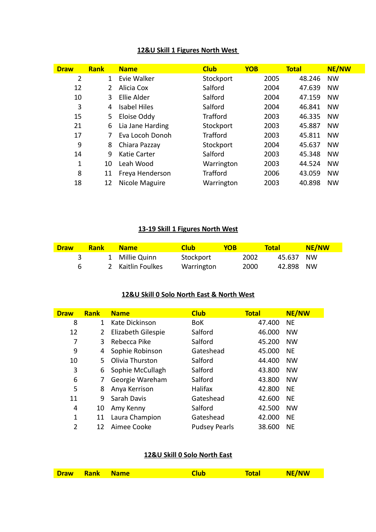## **12&U Skill 1 Figures North West**

| <b>Draw</b>    | <b>Rank</b>    | <b>Name</b>         | <b>Club</b>     | <b>YOB</b> | <b>Total</b> | <b>NE/NW</b> |
|----------------|----------------|---------------------|-----------------|------------|--------------|--------------|
| $\overline{2}$ | $\mathbf{1}$   | Evie Walker         | Stockport       | 2005       | 48.246       | <b>NW</b>    |
| 12             | $\overline{2}$ | Alicia Cox          | Salford         | 2004       | 47.639       | <b>NW</b>    |
| 10             | 3              | Ellie Alder         | Salford         | 2004       | 47.159       | <b>NW</b>    |
| 3              | 4              | <b>Isabel Hiles</b> | Salford         | 2004       | 46.841       | <b>NW</b>    |
| 15             | 5              | Eloise Oddy         | <b>Trafford</b> | 2003       | 46.335       | <b>NW</b>    |
| 21             | 6              | Lia Jane Harding    | Stockport       | 2003       | 45.887       | <b>NW</b>    |
| 17             |                | Eva Locoh Donoh     | <b>Trafford</b> | 2003       | 45.811       | <b>NW</b>    |
| 9              | 8              | Chiara Pazzay       | Stockport       | 2004       | 45.637       | <b>NW</b>    |
| 14             | 9              | Katie Carter        | Salford         | 2003       | 45.348       | <b>NW</b>    |
| 1              | 10             | Leah Wood           | Warrington      | 2003       | 44.524       | <b>NW</b>    |
| 8              | 11             | Freya Henderson     | <b>Trafford</b> | 2006       | 43.059       | <b>NW</b>    |
| 18             | 12             | Nicole Maguire      | Warrington      | 2003       | 40.898       | <b>NW</b>    |

#### **13-19 Skill 1 Figures North West**

| <b>Draw</b> | <b>Rank</b> | <b>Name</b>       | Club       | YOB  | Total     | <b>NE/NW</b> |
|-------------|-------------|-------------------|------------|------|-----------|--------------|
|             |             | 1 Millie Quinn    | Stockport  | 2002 | 45.637 NW |              |
| 6           |             | 2 Kaitlin Foulkes | Warrington | 2000 | 42.898 NW |              |

## **12&U Skill 0 Solo North East & North West**

| <b>Draw</b>    | <b>Rank</b>  | <b>Name</b>        | <b>Club</b>          | <b>Total</b> | <b>NE/NW</b> |
|----------------|--------------|--------------------|----------------------|--------------|--------------|
| 8              | $\mathbf{1}$ | Kate Dickinson     | <b>BoK</b>           | 47.400       | <b>NE</b>    |
| 12             | $\mathbf{2}$ | Elizabeth Gilespie | Salford              | 46.000       | <b>NW</b>    |
| 7              | 3            | Rebecca Pike       | Salford              | 45.200       | <b>NW</b>    |
| 9              | 4            | Sophie Robinson    | Gateshead            | 45.000       | <b>NE</b>    |
| 10             | 5.           | Olivia Thurston    | Salford              | 44.400       | <b>NW</b>    |
| 3              | 6            | Sophie McCullagh   | Salford              | 43.800       | <b>NW</b>    |
| 6              | 7            | Georgie Wareham    | Salford              | 43.800       | <b>NW</b>    |
| 5              | 8            | Anya Kerrison      | Halifax              | 42.800       | <b>NE</b>    |
| 11             | 9            | Sarah Davis        | Gateshead            | 42.600       | <b>NE</b>    |
| 4              | 10           | Amy Kenny          | Salford              | 42.500       | <b>NW</b>    |
| $\mathbf{1}$   | 11           | Laura Champion     | Gateshead            | 42.000       | <b>NE</b>    |
| $\overline{2}$ | 12           | Aimee Cooke        | <b>Pudsey Pearls</b> | 38.600       | <b>NE</b>    |

## **12&U Skill 0 Solo North East**

| Draw Rank Name | Club | <b>Total</b> | NE/NW |
|----------------|------|--------------|-------|
|                |      |              |       |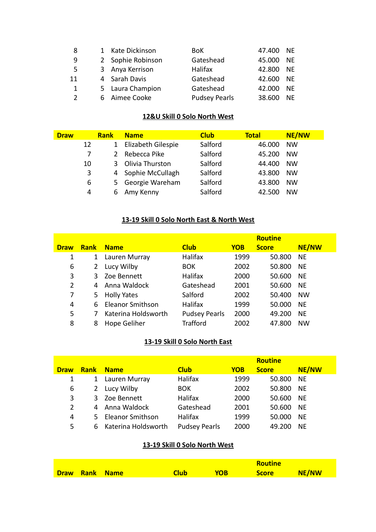| -8             | 1 Kate Dickinson  | BoK.                 | 47.400 NE |           |
|----------------|-------------------|----------------------|-----------|-----------|
| -9             | 2 Sophie Robinson | Gateshead            | 45.000    | <b>NE</b> |
| - 5            | 3 Anya Kerrison   | Halifax              | 42.800    | <b>NE</b> |
| 11             | 4 Sarah Davis     | Gateshead            | 42.600    | <b>NE</b> |
| $\overline{1}$ | 5 Laura Champion  | Gateshead            | 42.000    | NF        |
| $\overline{2}$ | 6 Aimee Cooke     | <b>Pudsey Pearls</b> | 38.600    | ΝF        |

### **12&U Skill 0 Solo North West**

| <b>Draw</b> |    | <b>Rank</b>   | <b>Name</b>        | <b>Club</b> | <b>Total</b> | <b>NE/NW</b> |
|-------------|----|---------------|--------------------|-------------|--------------|--------------|
|             | 12 | $1 \ \nu$     | Elizabeth Gilespie | Salford     | 46.000       | <b>NW</b>    |
|             |    | $\mathcal{L}$ | Rebecca Pike       | Salford     | 45.200       | <b>NW</b>    |
|             | 10 | 3             | Olivia Thurston    | Salford     | 44.400       | <b>NW</b>    |
|             | 3  |               | 4 Sophie McCullagh | Salford     | 43.800       | <b>NW</b>    |
|             | 6  |               | 5 Georgie Wareham  | Salford     | 43.800       | <b>NW</b>    |
|             | 4  | 6             | Amy Kenny          | Salford     | 42.500       | <b>NW</b>    |

# **13-19 Skill 0 Solo North East & North West**

|             |             |                         |                      |            | <b>Routine</b> |              |
|-------------|-------------|-------------------------|----------------------|------------|----------------|--------------|
| <b>Draw</b> | <b>Rank</b> | <b>Name</b>             | <b>Club</b>          | <b>YOB</b> | <b>Score</b>   | <b>NE/NW</b> |
| 1           | 1           | Lauren Murray           | Halifax              | 1999       | 50.800         | <b>NE</b>    |
| 6           | 2           | Lucy Wilby              | <b>BOK</b>           | 2002       | 50.800         | <b>NE</b>    |
| 3           |             | 3 Zoe Bennett           | <b>Halifax</b>       | 2000       | 50.600         | <b>NE</b>    |
| 2           | 4           | Anna Waldock            | Gateshead            | 2001       | 50.600         | <b>NE</b>    |
| 7           |             | 5 Holly Yates           | Salford              | 2002       | 50.400         | <b>NW</b>    |
| 4           | 6           | <b>Eleanor Smithson</b> | Halifax              | 1999       | 50.000         | <b>NE</b>    |
| 5           |             | Katerina Holdsworth     | <b>Pudsey Pearls</b> | 2000       | 49.200         | <b>NE</b>    |
| 8           | 8           | Hope Geliher            | <b>Trafford</b>      | 2002       | 47.800         | <b>NW</b>    |

# **13-19 Skill 0 Solo North East**

|             |             |                     |                      |            | <b>Routine</b> |              |
|-------------|-------------|---------------------|----------------------|------------|----------------|--------------|
| <b>Draw</b> | <b>Rank</b> | <b>Name</b>         | <b>Club</b>          | <b>YOB</b> | <b>Score</b>   | <b>NE/NW</b> |
|             | 1           | Lauren Murray       | Halifax              | 1999       | 50.800         | <b>NE</b>    |
| 6           | 2           | Lucy Wilby          | <b>BOK</b>           | 2002       | 50.800         | <b>NE</b>    |
| 3           | 3.          | Zoe Bennett         | <b>Halifax</b>       | 2000       | 50.600         | <b>NE</b>    |
| 2           |             | Anna Waldock        | Gateshead            | 2001       | 50.600         | <b>NE</b>    |
| 4           |             | 5 Eleanor Smithson  | <b>Halifax</b>       | 1999       | 50.000         | <b>NE</b>    |
| 5           | 6           | Katerina Holdsworth | <b>Pudsey Pearls</b> | 2000       | 49.200         | NE           |

## **13-19 Skill 0 Solo North West**

|  |                |             |            | <b>Routine</b> |       |
|--|----------------|-------------|------------|----------------|-------|
|  | Draw Rank Name | <b>Club</b> | <b>YOB</b> | <b>Score</b>   | NE/NW |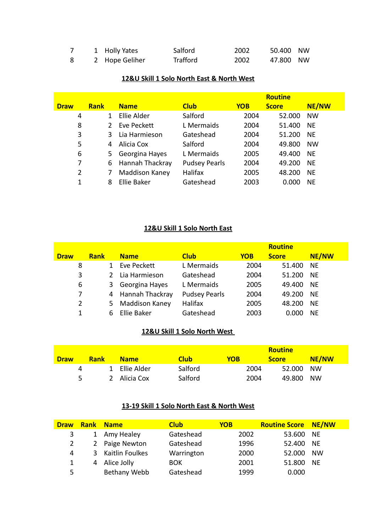|  | 1 Holly Yates  | Salford  | 2002 | 50.400 NW |  |
|--|----------------|----------|------|-----------|--|
|  | 2 Hope Geliher | Trafford | 2002 | 47.800 NW |  |

#### **12&U Skill 1 Solo North East & North West**

|             |               |                    |                      |            | <b>Routine</b> |              |
|-------------|---------------|--------------------|----------------------|------------|----------------|--------------|
| <b>Draw</b> | <b>Rank</b>   | <b>Name</b>        | <b>Club</b>          | <b>YOB</b> | <b>Score</b>   | <b>NE/NW</b> |
| 4           | 1             | Ellie Alder        | Salford              | 2004       | 52.000         | <b>NW</b>    |
| 8           | $\mathcal{P}$ | Eve Peckett        | L Mermaids           | 2004       | 51.400         | <b>NE</b>    |
| 3           | 3             | Lia Harmieson      | Gateshead            | 2004       | 51.200         | <b>NE</b>    |
| 5           | 4             | Alicia Cox         | Salford              | 2004       | 49.800         | <b>NW</b>    |
| 6           | 5.            | Georgina Hayes     | L Mermaids           | 2005       | 49.400         | <b>NE</b>    |
| 7           | 6             | Hannah Thackray    | <b>Pudsey Pearls</b> | 2004       | 49.200         | <b>NE</b>    |
| 2           | 7             | Maddison Kaney     | Halifax              | 2005       | 48.200         | <b>NE</b>    |
| 1           | 8             | <b>Ellie Baker</b> | Gateshead            | 2003       | 0.000          | <b>NE</b>    |

## **12&U Skill 1 Solo North East**

|             |             |                       |                      |            | <b>Routine</b> |              |
|-------------|-------------|-----------------------|----------------------|------------|----------------|--------------|
| <b>Draw</b> | <b>Rank</b> | <b>Name</b>           | <b>Club</b>          | <b>YOB</b> | <b>Score</b>   | <b>NE/NW</b> |
| 8           |             | Eve Peckett           | L Mermaids           | 2004       | 51.400         | <b>NE</b>    |
| 3           |             | Lia Harmieson         | Gateshead            | 2004       | 51.200         | <b>NE</b>    |
| 6           | 3           | Georgina Hayes        | L Mermaids           | 2005       | 49.400         | <b>NE</b>    |
| 7           |             | 4 Hannah Thackray     | <b>Pudsey Pearls</b> | 2004       | 49.200         | <b>NE</b>    |
| 2           | 5.          | <b>Maddison Kaney</b> | Halifax              | 2005       | 48.200         | <b>NE</b>    |
| 1           |             | <b>Ellie Baker</b>    | Gateshead            | 2003       | 0.000          | <b>NE</b>    |

## **12&U Skill 1 Solo North West**

|             |             |               |             |      | <b>Routine</b> |           |
|-------------|-------------|---------------|-------------|------|----------------|-----------|
| <b>Draw</b> | <b>Rank</b> | <b>Name</b>   | <b>Club</b> | YOB  | <b>Score</b>   | NE/NW     |
| 4           |             | 1 Ellie Alder | Salford     | 2004 | 52.000         | <b>NW</b> |
| 5.          |             | 2 Alicia Cox  | Salford     | 2004 | 49.800         | <b>NW</b> |

# **13-19 Skill 1 Solo North East & North West**

| <b>Draw</b>    |   | <b>Rank Name</b> | <b>Club</b> | <b>YOB</b> | <b>Routine Score NE/NW</b> |           |
|----------------|---|------------------|-------------|------------|----------------------------|-----------|
| 3              |   | 1 Amy Healey     | Gateshead   | 2002       | 53.600 NE                  |           |
| $\overline{2}$ | 2 | Paige Newton     | Gateshead   | 1996       | 52.400 NE                  |           |
| 4              | 3 | Kaitlin Foulkes  | Warrington  | 2000       | 52.000                     | <b>NW</b> |
| 1              | 4 | Alice Jolly      | <b>BOK</b>  | 2001       | 51.800                     | <b>NE</b> |
| 5              |   | Bethany Webb     | Gateshead   | 1999       | 0.000                      |           |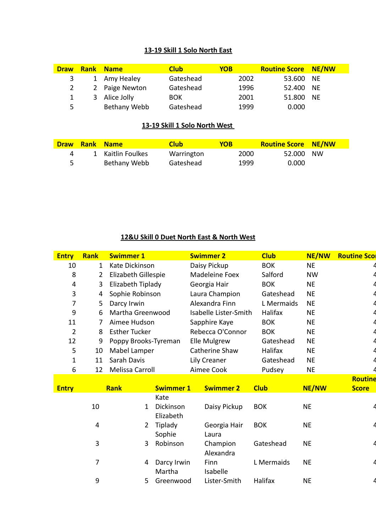### **13-19 Skill 1 Solo North East**

| <b>Draw</b> | <b>Rank Name</b> | <b>Club</b> | <b>YOB</b> | <b>Routine Score NE/NW</b> |  |
|-------------|------------------|-------------|------------|----------------------------|--|
| 3           | 1 Amy Healey     | Gateshead   | 2002       | 53.600 NE                  |  |
| 2           | 2 Paige Newton   | Gateshead   | 1996       | 52.400 NE                  |  |
|             | 3 Alice Jolly    | <b>BOK</b>  | 2001       | 51.800 NE                  |  |
| Б.          | Bethany Webb     | Gateshead   | 1999       | 0.000                      |  |

### **13-19 Skill 1 Solo North West**

| Draw | <b>Rank Name</b>  | <b>Club</b> | <b>YOB</b> | <b>Routine Score NE/NW</b> |  |
|------|-------------------|-------------|------------|----------------------------|--|
| 4    | 1 Kaitlin Foulkes | Warrington  | 2000       | 52.000 NW                  |  |
|      | Bethany Webb      | Gateshead   | 1999       | 0.000                      |  |

# **12&U Skill 0 Duet North East & North West**

| <b>Entry</b>   | <b>Rank</b>    | <b>Swimmer 1</b>     |                        |  | <b>Swimmer 2</b>      |  | <b>Club</b> | <b>NE/NW</b> | <b>Routine Scor</b> |
|----------------|----------------|----------------------|------------------------|--|-----------------------|--|-------------|--------------|---------------------|
| 10             | $\mathbf{1}$   | Kate Dickinson       |                        |  | Daisy Pickup          |  | <b>BOK</b>  | <b>NE</b>    |                     |
| 8              | $\overline{2}$ |                      | Elizabeth Gillespie    |  | Madeleine Foex        |  | Salford     | <b>NW</b>    |                     |
| 4              | 3              | Elizabeth Tiplady    |                        |  | Georgia Hair          |  | <b>BOK</b>  | <b>NE</b>    |                     |
| 3              | 4              | Sophie Robinson      |                        |  | Laura Champion        |  | Gateshead   | <b>NE</b>    |                     |
| 7              | 5              | Darcy Irwin          |                        |  | Alexandra Finn        |  | L Mermaids  | <b>NE</b>    |                     |
| 9              | 6              | Martha Greenwood     |                        |  | Isabelle Lister-Smith |  | Halifax     | <b>NE</b>    |                     |
| 11             | 7              | Aimee Hudson         |                        |  | Sapphire Kaye         |  | <b>BOK</b>  | <b>NE</b>    |                     |
| $\overline{2}$ | 8              | <b>Esther Tucker</b> |                        |  | Rebecca O'Connor      |  | <b>BOK</b>  | <b>NE</b>    |                     |
| 12             | 9              | Poppy Brooks-Tyreman |                        |  | Elle Mulgrew          |  | Gateshead   | <b>NE</b>    |                     |
| 5              | 10             | Mabel Lamper         |                        |  | Catherine Shaw        |  | Halifax     | <b>NE</b>    |                     |
| 1              | 11             | Sarah Davis          |                        |  | Lily Creaner          |  | Gateshead   | <b>NE</b>    |                     |
| 6              | 12             | Melissa Carroll      |                        |  | Aimee Cook            |  | Pudsey      | <b>NE</b>    |                     |
|                |                |                      |                        |  |                       |  |             |              | <b>Routine</b>      |
| <b>Entry</b>   |                | <b>Rank</b>          | <b>Swimmer 1</b>       |  | <b>Swimmer 2</b>      |  | <b>Club</b> | <b>NE/NW</b> | <b>Score</b>        |
|                |                |                      | Kate                   |  |                       |  |             |              |                     |
|                | 10             | 1                    | Dickinson<br>Elizabeth |  | Daisy Pickup          |  | <b>BOK</b>  | <b>NE</b>    |                     |
|                | 4              | 2                    | Tiplady<br>Sophie      |  | Georgia Hair<br>Laura |  | <b>BOK</b>  | <b>NE</b>    |                     |
|                | 3              | 3                    | Robinson               |  | Champion<br>Alexandra |  | Gateshead   | <b>NE</b>    |                     |
|                | 7              | 4                    | Darcy Irwin<br>Martha  |  | Finn<br>Isabelle      |  | L Mermaids  | <b>NE</b>    |                     |
|                | 9              | 5                    | Greenwood              |  | Lister-Smith          |  | Halifax     | <b>NE</b>    |                     |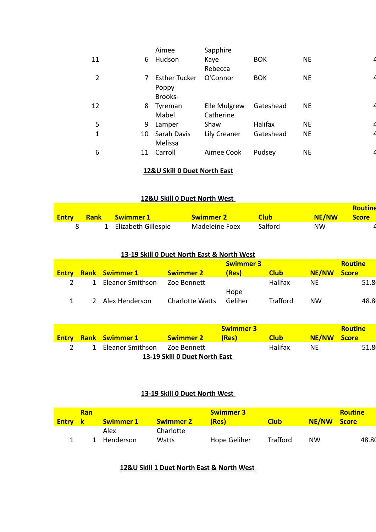|                |    | Aimee                                    | Sapphire                  |            |           |  |
|----------------|----|------------------------------------------|---------------------------|------------|-----------|--|
| 11             | 6  | Hudson                                   | Kaye<br>Rebecca           | <b>BOK</b> | <b>NE</b> |  |
| $\overline{2}$ | 7  | <b>Esther Tucker</b><br>Poppy<br>Brooks- | O'Connor                  | <b>BOK</b> | <b>NE</b> |  |
| 12             | 8  | Tyreman<br>Mabel                         | Elle Mulgrew<br>Catherine | Gateshead  | <b>NE</b> |  |
| 5              | 9  | Lamper                                   | Shaw                      | Halifax    | <b>NE</b> |  |
| 1              | 10 | Sarah Davis<br>Melissa                   | Lily Creaner              | Gateshead  | <b>NE</b> |  |
| 6              | 11 | Carroll                                  | Aimee Cook                | Pudsey     | <b>NE</b> |  |

## **12&U Skill 0 Duet North East**

## **12&U Skill 0 Duet North West**

|              |                       |                  |             |              | <b>Routine</b> |
|--------------|-----------------------|------------------|-------------|--------------|----------------|
| <b>Entry</b> | 1 Rank Swimmer 1      | <b>Swimmer 2</b> | <b>Club</b> | <b>NE/NW</b> | <b>Score</b>   |
|              | 1 Elizabeth Gillespie | Madeleine Foex   | Salford     | <b>NW</b>    |                |

#### **13-19 Skill 0 Duet North East & North West**

|                  |                                           | <b>Swimmer 3</b> |                 |           | <b>Routine</b> |
|------------------|-------------------------------------------|------------------|-----------------|-----------|----------------|
|                  | <b>Swimmer 2</b>                          | (Res)            | <b>Club</b>     | NE/NW     | <b>Score</b>   |
| Eleanor Smithson | Zoe Bennett                               |                  | Halifax         | NF        | 51.8           |
|                  |                                           | Hope             |                 |           |                |
|                  | <b>Charlotte Watts</b>                    | Geliher          | <b>Trafford</b> | <b>NW</b> | 48.8           |
|                  | <b>Rank</b> Swimmer 1<br>2 Alex Henderson |                  |                 |           |                |

|                               |  |                                |                  | <b>Swimmer 3</b> |             |             | <b>Routine</b> |  |  |
|-------------------------------|--|--------------------------------|------------------|------------------|-------------|-------------|----------------|--|--|
|                               |  | <b>Entry Rank Swimmer 1</b>    | <b>Swimmer 2</b> | (Res)            | <b>Club</b> | NE/NW Score |                |  |  |
|                               |  | 1 Eleanor Smithson Zoe Bennett |                  |                  | Halifax     | NF.         | 51.8           |  |  |
| 13-19 Skill 0 Duet North East |  |                                |                  |                  |             |             |                |  |  |

## **13-19 Skill 0 Duet North West**

| Ran<br><b>Entry</b> k<br><b>Swimmer 2</b><br><b>Swimmer 1</b> |           |           | <b>Swimmer 3</b><br>(Res) | NE/NW Score<br><b>Club</b> |    |       |  |  |
|---------------------------------------------------------------|-----------|-----------|---------------------------|----------------------------|----|-------|--|--|
|                                                               | Alex      | Charlotte |                           |                            |    |       |  |  |
|                                                               | Henderson | Watts     | Hope Geliher              | Trafford                   | NW | 48.80 |  |  |

### **12&U Skill 1 Duet North East & North West**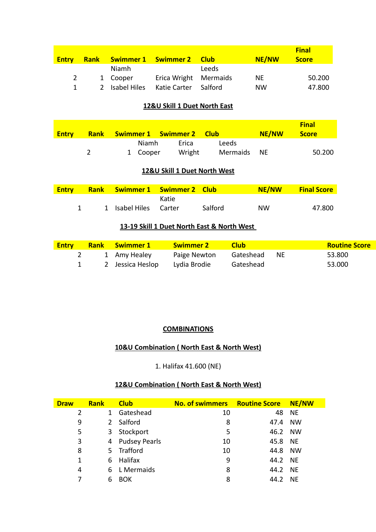| <b>Entry</b> | <b>Rank</b>    |              | Swimmer 1 Swimmer 2 Club |           | NE/NW     | <b>Final</b><br><b>Score</b> |
|--------------|----------------|--------------|--------------------------|-----------|-----------|------------------------------|
|              |                | Niamh        |                          | Leeds     |           |                              |
| 2            |                | 1 Cooper     | Erica Wright Mermaids    |           | <b>NE</b> | 50.200                       |
| $\mathbf{1}$ | $\overline{2}$ | Isabel Hiles | Katie Carter             | – Salford | <b>NW</b> | 47.800                       |

#### **12&U Skill 1 Duet North East**

| <b>Entry</b> | <b>Rank Swimmer 1 Swimmer 2 Club</b> |        |             | NE/NW | <b>Final</b><br><b>Score</b> |
|--------------|--------------------------------------|--------|-------------|-------|------------------------------|
|              | Niamh                                | Frica  | Leeds       |       |                              |
|              | 1 Cooper                             | Wright | Mermaids NE |       | 50.200                       |

#### **12&U Skill 1 Duet North West**

| <b>Entry</b> | <b>Rank Swimmer 1 Swimmer 2 Club</b> |       |         | <b>NE/NW</b> | <b>Final Score</b> |
|--------------|--------------------------------------|-------|---------|--------------|--------------------|
|              |                                      | Katie |         |              |                    |
|              | 1 Isabel Hiles Carter                |       | Salford | <b>NW</b>    | 47.800             |

## **13-19 Skill 1 Duet North East & North West**

| <b>Entry</b> | <b>Rank Swimmer 1</b> | - Swimmer 2  | <b>Club</b>  | <b>Routine Score</b> |
|--------------|-----------------------|--------------|--------------|----------------------|
|              | 1 Amy Healey          | Paige Newton | Gateshead NE | 53.800               |
|              | 2 Jessica Heslop      | Lydia Brodie | Gateshead    | 53.000               |

### **COMBINATIONS**

## **10&U Combination ( North East & North West)**

1. Halifax 41.600 (NE)

## **12&U Combination ( North East & North West)**

| <b>Draw</b> | <b>Rank</b>   | <b>Club</b>          | No. of swimmers Routine Score |         | NE/NW     |
|-------------|---------------|----------------------|-------------------------------|---------|-----------|
| 2           |               | Gateshead            | 10                            | 48      | NE.       |
| 9           | $\mathcal{L}$ | Salford              | 8                             | 47.4    | <b>NW</b> |
| 5           | 3             | Stockport            | 5                             | 46.2 NW |           |
| 3           | 4             | <b>Pudsey Pearls</b> | 10                            | 45.8 NE |           |
| 8           | 5.            | Trafford             | 10                            | 44.8 NW |           |
| 1           | 6             | Halifax              | 9                             | 44.2 NE |           |
| 4           | 6             | L Mermaids           | 8                             | 44.2 NE |           |
| 7           |               | <b>BOK</b>           | 8                             | 44.2    | <b>NE</b> |